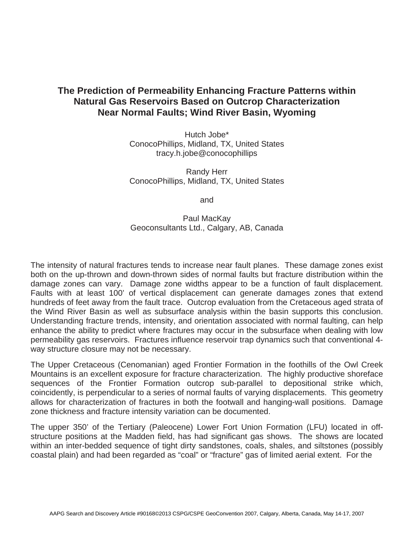## **The Prediction of Permeability Enhancing Fracture Patterns within Natural Gas Reservoirs Based on Outcrop Characterization Near Normal Faults; Wind River Basin, Wyoming**

Hutch Jobe\* ConocoPhillips, Midland, TX, United States tracy.h.jobe@conocophillips

Randy Herr ConocoPhillips, Midland, TX, United States

and

Paul MacKay Geoconsultants Ltd., Calgary, AB, Canada

The intensity of natural fractures tends to increase near fault planes. These damage zones exist both on the up-thrown and down-thrown sides of normal faults but fracture distribution within the damage zones can vary. Damage zone widths appear to be a function of fault displacement. Faults with at least 100' of vertical displacement can generate damages zones that extend hundreds of feet away from the fault trace. Outcrop evaluation from the Cretaceous aged strata of the Wind River Basin as well as subsurface analysis within the basin supports this conclusion. Understanding fracture trends, intensity, and orientation associated with normal faulting, can help enhance the ability to predict where fractures may occur in the subsurface when dealing with low permeability gas reservoirs. Fractures influence reservoir trap dynamics such that conventional 4 way structure closure may not be necessary.

The Upper Cretaceous (Cenomanian) aged Frontier Formation in the foothills of the Owl Creek Mountains is an excellent exposure for fracture characterization. The highly productive shoreface sequences of the Frontier Formation outcrop sub-parallel to depositional strike which, coincidently, is perpendicular to a series of normal faults of varying displacements. This geometry allows for characterization of fractures in both the footwall and hanging-wall positions. Damage zone thickness and fracture intensity variation can be documented.

The upper 350' of the Tertiary (Paleocene) Lower Fort Union Formation (LFU) located in offstructure positions at the Madden field, has had significant gas shows. The shows are located within an inter-bedded sequence of tight dirty sandstones, coals, shales, and siltstones (possibly coastal plain) and had been regarded as "coal" or "fracture" gas of limited aerial extent. For the